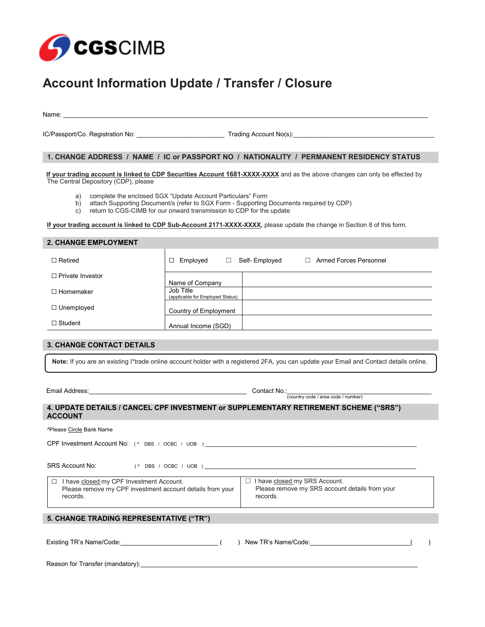

## **Account Information Update / Transfer / Closure**

Name:

IC/Passport/Co. Registration No: \_\_\_\_\_\_\_\_\_\_\_\_\_\_\_\_\_\_\_\_\_\_\_\_\_ Trading Account No(s):\_\_\_\_\_\_\_\_\_\_\_\_\_\_\_\_\_\_\_\_\_\_\_\_\_\_\_\_\_\_\_\_\_\_\_\_\_\_\_\_

## **1. CHANGE ADDRESS / NAME / IC or PASSPORT NO / NATIONALITY / PERMANENT RESIDENCY STATUS**

**If your trading account is linked to CDP Securities Account 1681-XXXX-XXXX** and as the above changes can only be effected by The Central Depository (CDP), please

- a) complete the enclosed SGX "Update Account Particulars" Form
- b) attach Supporting Document/s (refer to SGX Form Supporting Documents required by CDP)
- c) return to CGS-CIMB for our onward transmission to CDP for the update

**If your trading account is linked to CDP Sub-Account 2171-XXXX-XXXX,** please update the change in Section 8 of this form.

| <b>2. CHANGE EMPLOYMENT</b> |                                                                              |  |
|-----------------------------|------------------------------------------------------------------------------|--|
| $\Box$ Retired              | Self-Employed<br>Armed Forces Personnel<br>Employed<br>п<br>$\Box$<br>$\Box$ |  |
| $\Box$ Private Investor     | Name of Company                                                              |  |
| $\Box$ Homemaker            | Job Title<br>(applicable for Employed Status)                                |  |
| $\Box$ Unemployed           | Country of Employment                                                        |  |
| $\Box$ Student              | Annual Income (SGD)                                                          |  |
|                             |                                                                              |  |

## **3. CHANGE CONTACT DETAILS**

**Note:** If you are an existing I\*trade online account holder with a registered 2FA, you can update your Email and Contact details online.

## Email Address: Contact No.: Contact No.: Contact No.: Country code / area code / number) **4. UPDATE DETAILS / CANCEL CPF INVESTMENT or SUPPLEMENTARY RETIREMENT SCHEME ("SRS") ACCOUNT**

| <sup>^</sup> Please Circle Bank Name                                                                                        |                                                                                             |  |  |
|-----------------------------------------------------------------------------------------------------------------------------|---------------------------------------------------------------------------------------------|--|--|
| CPF Investment Account No: (A DBS / OCBC / UOB)                                                                             |                                                                                             |  |  |
| SRS Account No:                                                                                                             |                                                                                             |  |  |
| I have closed my CPF Investment Account.<br>$\Box$<br>Please remove my CPF investment account details from your<br>records. | I have closed my SRS Account.<br>Please remove my SRS account details from your<br>records. |  |  |
| 5. CHANGE TRADING REPRESENTATIVE ("TR")                                                                                     |                                                                                             |  |  |
| Existing TR's Name/Code:                                                                                                    | New TR's Name/Code:                                                                         |  |  |

Reason for Transfer (mandatory):